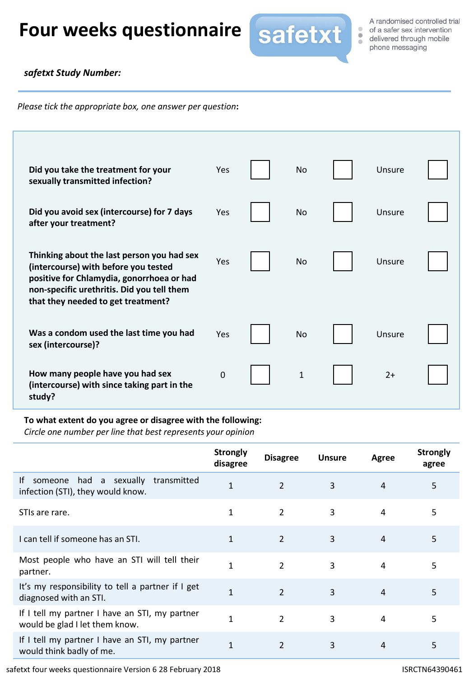# Four weeks questionnaire safetxt sex intervention



A randomised controlled trial of a safer sex intervention

### *safetxt Study Number:*

*Please tick the appropriate box, one answer per question***:**

| Did you take the treatment for your<br>sexually transmitted infection?                                                                                                                                              | Yes         | <b>No</b>    | Unsure |  |
|---------------------------------------------------------------------------------------------------------------------------------------------------------------------------------------------------------------------|-------------|--------------|--------|--|
| Did you avoid sex (intercourse) for 7 days<br>after your treatment?                                                                                                                                                 | Yes         | No           | Unsure |  |
| Thinking about the last person you had sex<br>(intercourse) with before you tested<br>positive for Chlamydia, gonorrhoea or had<br>non-specific urethritis. Did you tell them<br>that they needed to get treatment? | Yes         | <b>No</b>    | Unsure |  |
| Was a condom used the last time you had<br>sex (intercourse)?                                                                                                                                                       | Yes         | No           | Unsure |  |
| How many people have you had sex<br>(intercourse) with since taking part in the<br>study?                                                                                                                           | $\mathbf 0$ | $\mathbf{1}$ | $2+$   |  |

#### **To what extent do you agree or disagree with the following:**

*Circle one number per line that best represents your opinion*

|                                                                                  | <b>Strongly</b><br>disagree | <b>Disagree</b> | <b>Unsure</b> | Agree | <b>Strongly</b><br>agree |
|----------------------------------------------------------------------------------|-----------------------------|-----------------|---------------|-------|--------------------------|
| had a sexually transmitted<br>lf<br>someone<br>infection (STI), they would know. | $\mathbf{1}$                | $\overline{2}$  | 3             | 4     | 5                        |
| STIs are rare.                                                                   | 1                           | $\overline{2}$  | 3             | 4     | 5                        |
| I can tell if someone has an STI.                                                | 1                           | 2               | 3             | 4     | 5                        |
| Most people who have an STI will tell their<br>partner.                          | $\mathbf{1}$                | $\overline{2}$  | 3             | 4     | 5                        |
| It's my responsibility to tell a partner if I get<br>diagnosed with an STI.      | $\mathbf{1}$                | $\overline{2}$  | 3             | 4     | 5                        |
| If I tell my partner I have an STI, my partner<br>would be glad I let them know. | 1                           | $\overline{2}$  | 3             | 4     | 5                        |
| If I tell my partner I have an STI, my partner<br>would think badly of me.       | $\mathbf{1}$                | $\overline{2}$  | 3             | 4     | 5                        |

safetxt four weeks questionnaire Version 6 28 February 2018 **ISRCTN64390461** ISRCTN64390461